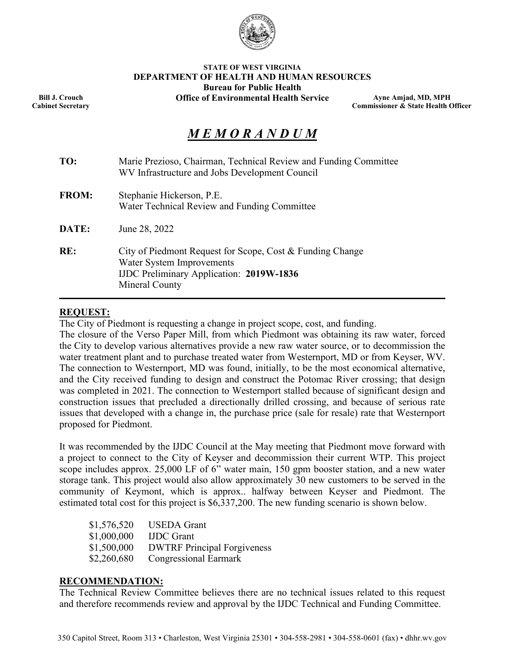

#### **STATE OF WEST VIRGINIA DEPARTMENT OF HEALTH AND HUMAN RESOURCES Bureau for Public Health Office of Environmental Health Service**

**Ayne Amjad, MD, MPH Commissioner & State Health Officer**

# *M E M O R A N D U M*

| TO:          | Marie Prezioso, Chairman, Technical Review and Funding Committee<br>WV Infrastructure and Jobs Development Council                                          |  |  |  |  |  |
|--------------|-------------------------------------------------------------------------------------------------------------------------------------------------------------|--|--|--|--|--|
| <b>FROM:</b> | Stephanie Hickerson, P.E.<br>Water Technical Review and Funding Committee                                                                                   |  |  |  |  |  |
| DATE:        | June 28, 2022                                                                                                                                               |  |  |  |  |  |
| RE:          | City of Piedmont Request for Scope, Cost & Funding Change<br>Water System Improvements<br><b>IJDC Preliminary Application: 2019W-1836</b><br>Mineral County |  |  |  |  |  |

## **REQUEST:**

The City of Piedmont is requesting a change in project scope, cost, and funding.

The closure of the Verso Paper Mill, from which Piedmont was obtaining its raw water, forced the City to develop various alternatives provide a new raw water source, or to decommission the water treatment plant and to purchase treated water from Westernport, MD or from Keyser, WV. The connection to Westernport, MD was found, initially, to be the most economical alternative, and the City received funding to design and construct the Potomac River crossing; that design was completed in 2021. The connection to Westernport stalled because of significant design and construction issues that precluded a directionally drilled crossing, and because of serious rate issues that developed with a change in, the purchase price (sale for resale) rate that Westernport proposed for Piedmont.

It was recommended by the IJDC Council at the May meeting that Piedmont move forward with a project to connect to the City of Keyser and decommission their current WTP. This project scope includes approx. 25,000 LF of 6" water main, 150 gpm booster station, and a new water storage tank. This project would also allow approximately 30 new customers to be served in the community of Keymont, which is approx.. halfway between Keyser and Piedmont. The estimated total cost for this project is \$6,337,200. The new funding scenario is shown below.

| \$1,576,520 | <b>USEDA</b> Grant                 |
|-------------|------------------------------------|
| \$1,000,000 | <b>IJDC</b> Grant                  |
| \$1,500,000 | <b>DWTRF Principal Forgiveness</b> |
| \$2,260,680 | <b>Congressional Earmark</b>       |

## **RECOMMENDATION:**

The Technical Review Committee believes there are no technical issues related to this request and therefore recommends review and approval by the IJDC Technical and Funding Committee.

**Bill J. Crouch Cabinet Secretary**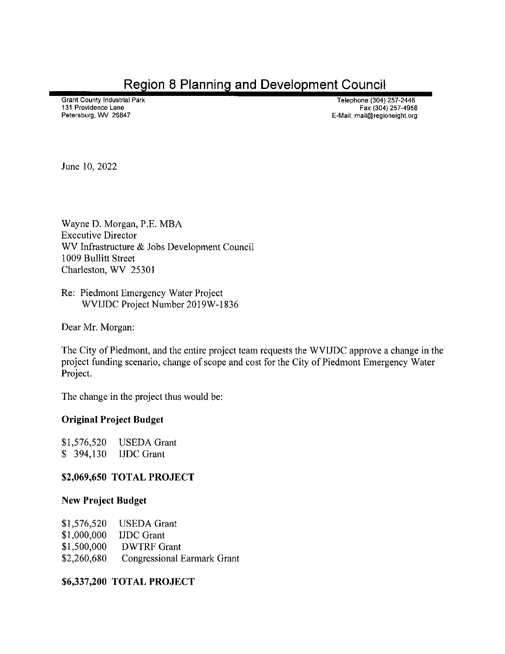**Region 8 Planning and Development Council** 

**Grant County Industrial Park** 131 Providence Lane Petersburg, WV 26847

Telephone (304) 257-2448 Fax (304) 257-4958 E-Mail: mail@regioneight.org

June 10, 2022

Wayne D. Morgan, P.E. MBA **Executive Director** WV Infrastructure & Jobs Development Council 1009 Bullitt Street Charleston, WV 25301

Re: Piedmont Emergency Water Project WVIJDC Project Number 2019W-1836

Dear Mr. Morgan:

The City of Piedmont, and the entire project team requests the WVIJDC approve a change in the project funding scenario, change of scope and cost for the City of Piedmont Emergency Water Project.

The change in the project thus would be:

# **Original Project Budget**

 $$1,576,520$ **USEDA** Grant  $$394,130$ **IJDC** Grant

# \$2,069,650 TOTAL PROJECT

## **New Project Budget**

| \$1,576,520 | <b>USEDA Grant</b>                 |
|-------------|------------------------------------|
| \$1,000,000 | <b>IJDC</b> Grant                  |
| \$1,500,000 | <b>DWTRF Grant</b>                 |
| \$2,260,680 | <b>Congressional Earmark Grant</b> |

# \$6,337,200 TOTAL PROJECT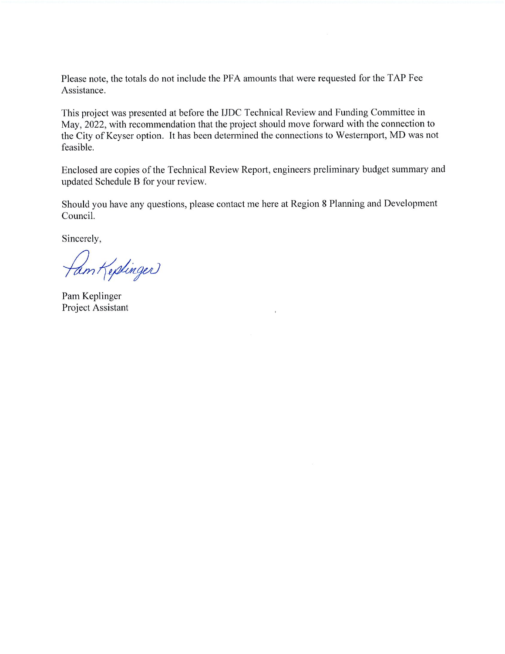Please note, the totals do not include the PFA amounts that were requested for the TAP Fee Assistance.

This project was presented at before the IJDC Technical Review and Funding Committee in May, 2022, with recommendation that the project should move forward with the connection to the City of Keyser option. It has been determined the connections to Westernport, MD was not feasible.

Enclosed are copies of the Technical Review Report, engineers preliminary budget summary and updated Schedule B for your review.

Should you have any questions, please contact me here at Region 8 Planning and Development Council.

Sincerely,

fam Keptinger

Pam Keplinger Project Assistant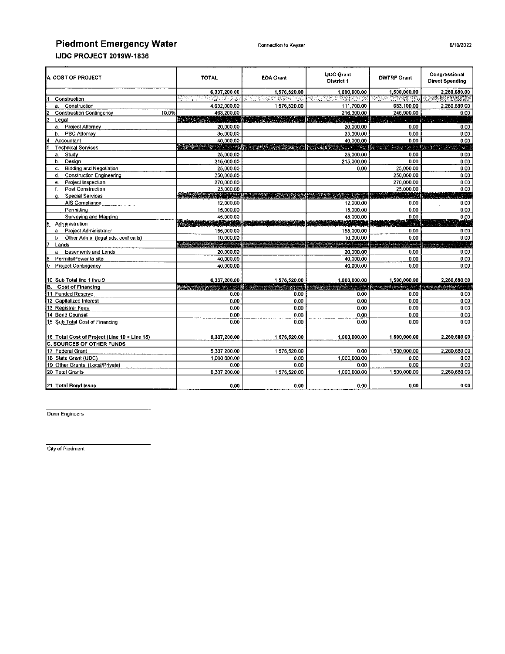# **Piedmont Emergency Water**

| <b>A. COST OF PROJECT</b>                    | <b>TOTAL</b> | <b>EDA Grant</b>         | <b>IJDC Grant</b><br><b>District 1</b> | <b>DWTRF Grant</b> | Congressional<br><b>Direct Spending</b> |
|----------------------------------------------|--------------|--------------------------|----------------------------------------|--------------------|-----------------------------------------|
|                                              | 6.337,200.00 | 1,576,520.00             | 1.000.000.00                           | 1,500,000.00       | 2,260,680.00                            |
| Construction                                 | 그것 부분의 거지요?  | ANG MAKANG               | 연합 <u>대학</u>                           | en angger          | 经技术                                     |
| Construction<br>a.                           | 4.632.000.00 | 1.576.520.00             | 111.700.00                             | 683,100.00         | 2.260.680.00                            |
| 10.0%<br><b>Construction Contingency</b>     | 463,200.00   |                          | 216,300.00                             | 246,900.00         | 0.00                                    |
| Legal                                        |              |                          |                                        |                    |                                         |
| <b>Project Attorney</b><br>а.                | 20,000.00    |                          | 20.000.00                              | 0.00               | 0.00                                    |
| <b>PSC Attorney</b><br>b.                    | 35,000.00    |                          | 35,000.00                              | 0.00               | 0.00                                    |
| Accountant                                   | 40,000.00    |                          | 40,000.00                              | 0.00               | 0.00                                    |
| <b>Technical Services</b>                    |              | <u>ng ang panggunian</u> | بعيوس سوابي                            |                    |                                         |
| Study<br>a.                                  | 25,000.00    |                          | 25,000.00                              | 0.00               | 0.00                                    |
| Design<br>b.                                 | 215,000.00   |                          | 215,000.00                             | 0.00               | 0.00                                    |
| <b>Bidding and Negotiation</b><br>c.         | 25,000.00    |                          | 0.00                                   | 25,000.00          | 0.00                                    |
| <b>Construction Engineering</b><br>d.        | 250,000.00   |                          |                                        | 250,000.00         | 0.00                                    |
| Project Inspection<br>е.                     | 270,000.00   |                          |                                        | 270,000.00         | 0.00                                    |
| Post Construction<br>f.                      | 25,000.00    |                          |                                        | 25,000.00          | 0.00                                    |
| <b>Special Services</b><br>а.                |              |                          |                                        |                    |                                         |
| AIS Compliance                               | 12.000.00    |                          | 12,000.00                              | 0.00               | 0.00                                    |
| Permitting                                   | 15,000.00    |                          | 15,000.00                              | <b>000</b>         | 0.00                                    |
| Surveying and Mapping                        | 45,000.00    |                          | 45,000.00                              | 0.00               | 0.00                                    |
| Administration                               |              |                          |                                        | 86,                | 575                                     |
| Project Administrator<br>a                   | 155,000.00   |                          | 155,000.00                             | 0.00               | 0.00                                    |
| Other Admin (legal ads, conf calls)<br>b     | 10,000.00    |                          | 10,000.00                              | 0.00               | 0.00                                    |
| Lands                                        |              |                          | <b>M. Parti La Mar Dal</b>             | ومعتقبة            | $57.62 - 16.03.53$ and $\%$             |
| <b>Easements and Lands</b><br>a              | 20,000.00    |                          | 20,000.00                              | 0.00               | 0.00                                    |
| Permits/Power to site                        | 40,000.00    |                          | 40,000.00                              | 0.00               | 0.00                                    |
| Project Contingency                          | 40,000.00    |                          | 40,000.00                              | 0.00               | 0.00                                    |
| 10 Sub Total line 1 thru 9                   | 6,337,200.00 | 1,576,520.00             | 1,000,000.00                           | 1,500,000.00       | 2,260,680.00                            |
| B.<br><b>Cost of Financing</b>               |              |                          |                                        |                    |                                         |
| 11 Funded Reserve                            | 0.00         | 0.00                     | 0.00                                   | 0.00               | 0.00                                    |
| 12 Capitalized Interest                      | 0.00         | 0.00                     | 0.00                                   | 0.00               | 0.00                                    |
| 13 Registrar Fees                            | 0.00         | 0.00                     | 0.00                                   | 0.00               | 0.00                                    |
| 14 Bond Counsel                              | 0.00         | 0,00                     | 0.00                                   | 0.00               | 0.00                                    |
| 15 Sub Total Cost of Financing               | 0.00         | 0.00                     | 0.00                                   | 0.00               | 0.00                                    |
| 16 Total Cost of Project (Line 10 + Line 15) | 6.337,200.00 | 1,576,520.00             | 1,000,000,00                           | 1,500,000.00       | 2,260,680.00                            |
| <b>C. SOURCES OF OTHER FUNDS</b>             |              |                          |                                        |                    |                                         |
| 17 Federal Grant                             | 5 337,200.00 | 1,576,520.00             | 0.00                                   | 1,500,000.00       | 2,260,680.00                            |
| 18 State Grant (IJDC)                        | 1,000,000.00 | 0.00                     | 1,000,000.00                           | 0.00               | 0.00                                    |
| 19 Other Grants (Local/Private)              | 0.00         | 0.00                     | 0.00                                   | 0.00               | 0.00                                    |
| 20 Total Grants                              | 6.337.200.00 | 1,576,520.00             | 1.000.000.00                           | 1.500.000.00       | 2.260.680.00                            |
| 21 Total Bond Issue                          | 0.00         | 0.00                     | 0.00                                   | 0.00               | 0.00                                    |

Dunn Engineers

City of Piedmont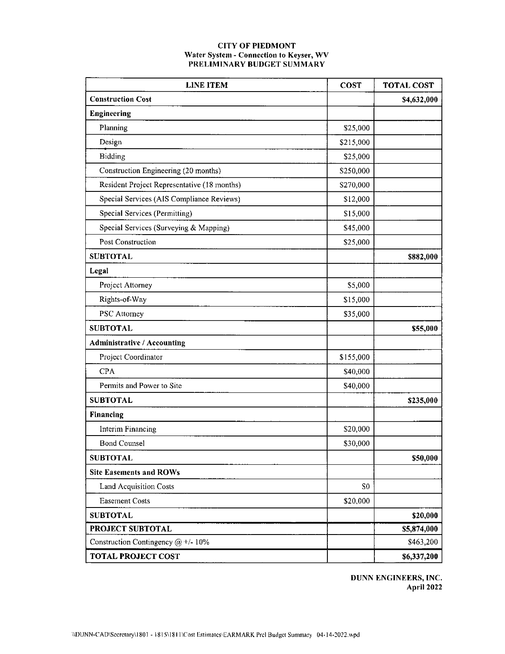# **CITY OF PIEDMONT** Water System - Connection to Keyser, WV<br>PRELIMINARY BUDGET SUMMARY

| <b>LINE ITEM</b>                            | <b>COST</b>    | <b>TOTAL COST</b> |
|---------------------------------------------|----------------|-------------------|
| <b>Construction Cost</b>                    |                | \$4,632,000       |
| <b>Engineering</b>                          |                |                   |
| Planning                                    | \$25,000       |                   |
| Design                                      | \$215,000      |                   |
| <b>Bidding</b>                              | \$25,000       |                   |
| Construction Engineering (20 months)        | \$250,000      |                   |
| Resident Project Representative (18 months) | \$270,000      |                   |
| Special Services (AIS Compliance Reviews)   | \$12,000       |                   |
| Special Services (Permitting)               | \$15,000       |                   |
| Special Services (Surveying & Mapping)      | \$45,000       |                   |
| Post Construction                           | \$25,000       |                   |
| <b>SUBTOTAL</b>                             |                | \$882,000         |
| Legal                                       |                |                   |
| Project Attorney                            | \$5,000        |                   |
| Rights-of-Way                               | \$15,000       |                   |
| <b>PSC</b> Attorney                         | \$35,000       |                   |
| <b>SUBTOTAL</b>                             |                | \$55,000          |
| <b>Administrative / Accounting</b>          |                |                   |
| Project Coordinator                         | \$155,000      |                   |
| <b>CPA</b>                                  | \$40,000       |                   |
| Permits and Power to Site                   | \$40,000       |                   |
| <b>SUBTOTAL</b>                             |                | \$235,000         |
| Financing                                   |                |                   |
| Interim Financing                           | \$20,000       |                   |
| <b>Bond Counsel</b>                         | \$30,000       |                   |
| <b>SUBTOTAL</b>                             |                | \$50,000          |
| <b>Site Easements and ROWs</b>              |                |                   |
| <b>Land Acquisition Costs</b>               | S <sub>0</sub> |                   |
| <b>Easement Costs</b>                       | \$20,000       |                   |
| <b>SUBTOTAL</b>                             |                | \$20,000          |
| <b>PROJECT SUBTOTAL</b>                     |                | \$5,874,000       |
| Construction Contingency @ +/- 10%          |                | \$463,200         |
| <b>TOTAL PROJECT COST</b>                   |                | \$6,337,200       |

DUNN ENGINEERS, INC. **April 2022**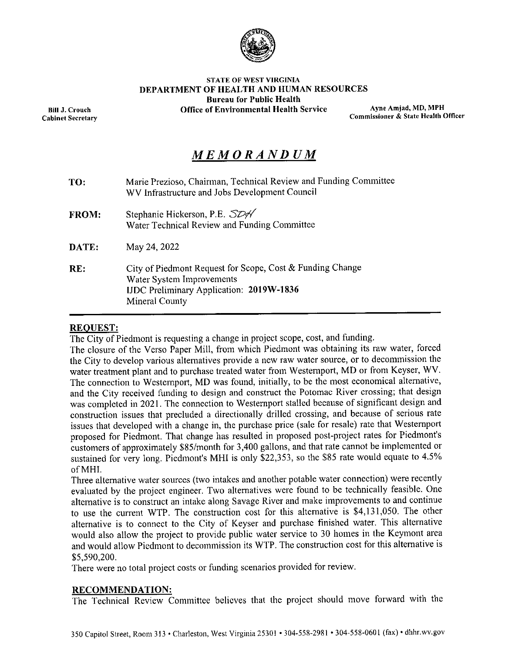

#### **STATE OF WEST VIRGINIA** DEPARTMENT OF HEALTH AND HUMAN RESOURCES **Bureau for Public Health Office of Environmental Health Service**

Ayne Amjad, MD, MPH Commissioner & State Health Officer

# MEMORANDUM

| TO.          | Marie Prezioso, Chairman, Technical Review and Funding Committee<br>WV Infrastructure and Jobs Development Council                                          |  |  |  |  |  |
|--------------|-------------------------------------------------------------------------------------------------------------------------------------------------------------|--|--|--|--|--|
| <b>FROM:</b> | Stephanie Hickerson, P.E. SDA<br>Water Technical Review and Funding Committee                                                                               |  |  |  |  |  |
| DATE:        | May 24, 2022                                                                                                                                                |  |  |  |  |  |
| RE:          | City of Piedmont Request for Scope, Cost & Funding Change<br>Water System Improvements<br><b>IJDC Preliminary Application: 2019W-1836</b><br>Mineral County |  |  |  |  |  |

# **REOUEST:**

The City of Piedmont is requesting a change in project scope, cost, and funding.

The closure of the Verso Paper Mill, from which Piedmont was obtaining its raw water, forced the City to develop various alternatives provide a new raw water source, or to decommission the water treatment plant and to purchase treated water from Westernport, MD or from Keyser, WV. The connection to Westernport, MD was found, initially, to be the most economical alternative, and the City received funding to design and construct the Potomac River crossing; that design was completed in 2021. The connection to Westernport stalled because of significant design and construction issues that precluded a directionally drilled crossing, and because of serious rate issues that developed with a change in, the purchase price (sale for resale) rate that Westernport proposed for Piedmont. That change has resulted in proposed post-project rates for Piedmont's customers of approximately \$85/month for 3,400 gallons, and that rate cannot be implemented or sustained for very long. Piedmont's MHI is only \$22,353, so the \$85 rate would equate to 4.5% of MHI.

Three alternative water sources (two intakes and another potable water connection) were recently evaluated by the project engineer. Two alternatives were found to be technically feasible. One alternative is to construct an intake along Savage River and make improvements to and continue to use the current WTP. The construction cost for this alternative is \$4,131,050. The other alternative is to connect to the City of Keyser and purchase finished water. This alternative would also allow the project to provide public water service to 30 homes in the Keymont area and would allow Piedmont to decommission its WTP. The construction cost for this alternative is \$5,590,200.

There were no total project costs or funding scenarios provided for review.

## **RECOMMENDATION:**

The Technical Review Committee believes that the project should move forward with the

**Bill J. Crouch Cabinet Secretary**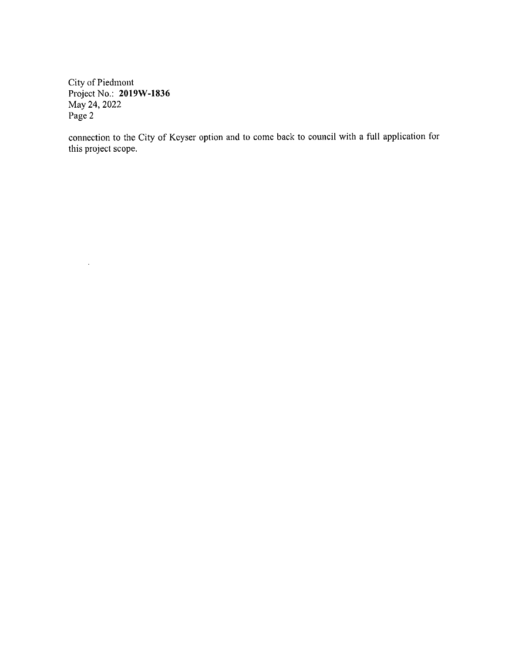City of Piedmont Project No.: 2019W-1836 May 24, 2022 Page 2

 $\ddot{\phantom{a}}$ 

connection to the City of Keyser option and to come back to council with a full application for this project scope.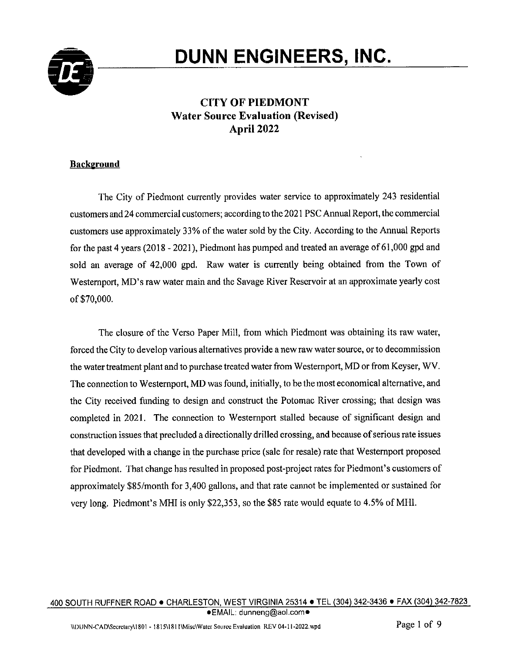

# **DUNN ENGINEERS, INC.**

# **CITY OF PIEDMONT Water Source Evaluation (Revised)** April 2022

# **Background**

The City of Piedmont currently provides water service to approximately 243 residential customers and 24 commercial customers; according to the 2021 PSC Annual Report, the commercial customers use approximately 33% of the water sold by the City. According to the Annual Reports for the past 4 years (2018 - 2021), Piedmont has pumped and treated an average of 61,000 gpd and sold an average of 42,000 gpd. Raw water is currently being obtained from the Town of Westernport, MD's raw water main and the Savage River Reservoir at an approximate yearly cost of \$70,000.

The closure of the Verso Paper Mill, from which Piedmont was obtaining its raw water, forced the City to develop various alternatives provide a new raw water source, or to decommission the water treatment plant and to purchase treated water from Westernport, MD or from Keyser, WV. The connection to Westernport, MD was found, initially, to be the most economical alternative, and the City received funding to design and construct the Potomac River crossing; that design was completed in 2021. The connection to Westernport stalled because of significant design and construction issues that precluded a directionally drilled crossing, and because of serious rate issues that developed with a change in the purchase price (sale for resale) rate that Westernport proposed for Piedmont. That change has resulted in proposed post-project rates for Piedmont's customers of approximately \$85/month for 3,400 gallons, and that rate cannot be implemented or sustained for very long. Piedmont's MHI is only \$22,353, so the \$85 rate would equate to 4.5% of MHI.

#### 400 SOUTH RUFFNER ROAD . CHARLESTON, WEST VIRGINIA 25314 . TEL (304) 342-3436 . FAX (304) 342-7823 ●EMAIL: dunneng@aol.com●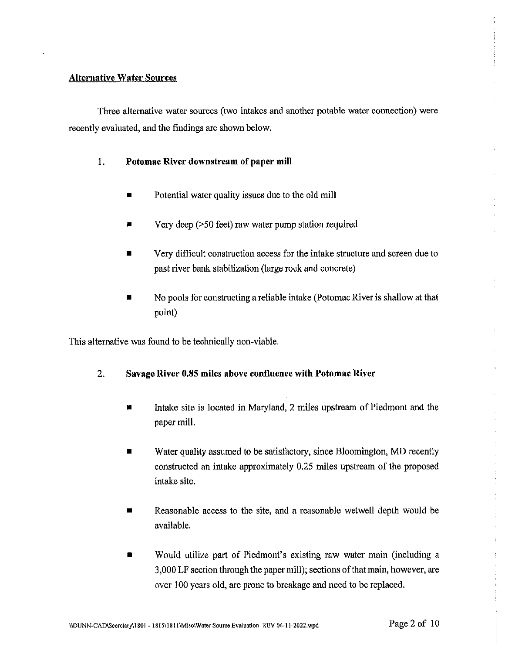# **Alternative Water Sources**

Three alternative water sources (two intakes and another potable water connection) were recently evaluated, and the findings are shown below.

- Potomac River downstream of paper mill 1.
	- Potential water quality issues due to the old mill
	- Very deep  $($ >50 feet) raw water pump station required п
	- Very difficult construction access for the intake structure and screen due to past river bank stabilization (large rock and concrete)
	- No pools for constructing a reliable intake (Potomac River is shallow at that point)

This alternative was found to be technically non-viable.

#### 2. Savage River 0.85 miles above confluence with Potomac River

- Intake site is located in Maryland, 2 miles upstream of Piedmont and the П paper mill.
- Water quality assumed to be satisfactory, since Bloomington, MD recently constructed an intake approximately 0.25 miles upstream of the proposed intake site.
- Reasonable access to the site, and a reasonable wetwell depth would be  $\blacksquare$ available.
- Would utilize part of Piedmont's existing raw water main (including a 3,000 LF section through the paper mill); sections of that main, however, are over 100 years old, are prone to breakage and need to be replaced.

 $\bar{t}$ 

 $\frac{1}{2}$ 

ä,

 $\frac{1}{\epsilon}$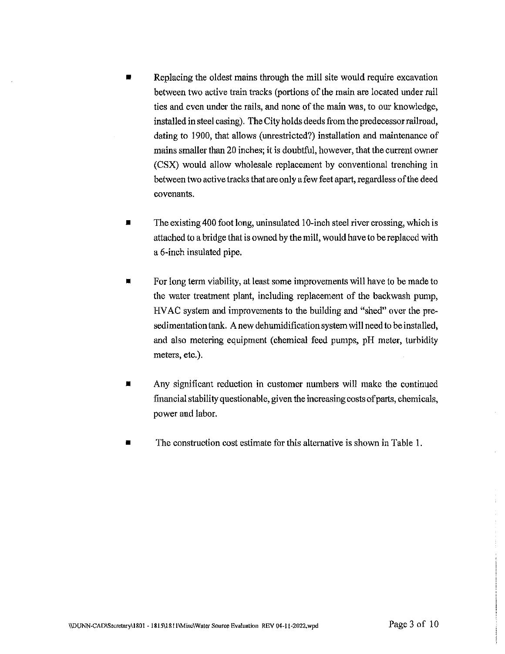- Replacing the oldest mains through the mill site would require excavation between two active train tracks (portions of the main are located under rail ties and even under the rails, and none of the main was, to our knowledge, installed in steel casing). The City holds deeds from the predecessor railroad, dating to 1900, that allows (unrestricted?) installation and maintenance of mains smaller than 20 inches; it is doubtful, however, that the current owner (CSX) would allow wholesale replacement by conventional trenching in between two active tracks that are only a few feet apart, regardless of the deed covenants.
- The existing 400 foot long, uninsulated 10-inch steel river crossing, which is  $\blacksquare$ attached to a bridge that is owned by the mill, would have to be replaced with a 6-inch insulated pipe.
- For long term viability, at least some improvements will have to be made to the water treatment plant, including replacement of the backwash pump, HVAC system and improvements to the building and "shed" over the presedimentation tank. A new dehumidification system will need to be installed, and also metering equipment (chemical feed pumps, pH meter, turbidity meters, etc.).
- Any significant reduction in customer numbers will make the continued 眉 financial stability questionable, given the increasing costs of parts, chemicals, power and labor.
- The construction cost estimate for this alternative is shown in Table 1.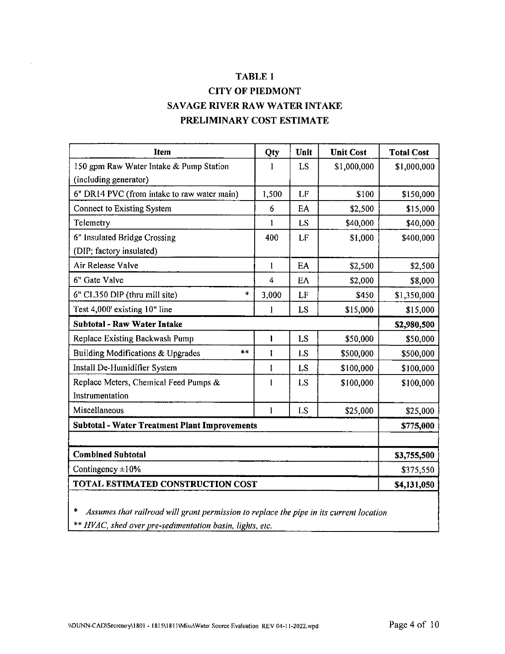# TABLE 1 **CITY OF PIEDMONT** SAVAGE RIVER RAW WATER INTAKE PRELIMINARY COST ESTIMATE

| <b>Item</b>                                          | Qty          | Unit      | <b>Unit Cost</b> | <b>Total Cost</b> |
|------------------------------------------------------|--------------|-----------|------------------|-------------------|
| 150 gpm Raw Water Intake & Pump Station              |              | LS        | \$1,000,000      | \$1,000,000       |
| (including generator)                                |              |           |                  |                   |
| 6" DR14 PVC (from intake to raw water main)          | 1,500        | LF        | \$100            | \$150,000         |
| Connect to Existing System                           | 6            | EA        | \$2,500          | \$15,000          |
| Telemetry                                            | 1            | LS        | \$40,000         | \$40,000          |
| 6" Insulated Bridge Crossing                         | 400          | LF        | \$1,000          | \$400,000         |
| (DIP; factory insulated)                             |              |           |                  |                   |
| Air Release Valve                                    | l            | EA        | \$2,500          | \$2,500           |
| 6" Gate Valve                                        | 4            | EA        | \$2,000          | \$8,000           |
| $\ddagger$<br>6" CL350 DIP (thru mill site)          | 3,000        | LF        | \$450            | \$1,350,000       |
| Test 4,000' existing 10" line                        | 1            | LS        | \$15,000         | \$15,000          |
| <b>Subtotal - Raw Water Intake</b>                   |              |           |                  | \$2,980,500       |
| Replace Existing Backwash Pump                       | 1            | LS        | \$50,000         | \$50,000          |
| $**$<br>Building Modifications & Upgrades            | 1            | LS        | \$500,000        | \$500,000         |
| Install De-Humidifier System                         | 1            | <b>LS</b> | \$100,000        | \$100,000         |
| Replace Meters, Chemical Feed Pumps &                | 1            | <b>LS</b> | \$100,000        | \$100,000         |
| Instrumentation                                      |              |           |                  |                   |
| Miscellaneous                                        | $\mathbf{1}$ | LS        | \$25,000         | \$25,000          |
| <b>Subtotal - Water Treatment Plant Improvements</b> | \$775,000    |           |                  |                   |
|                                                      |              |           |                  |                   |
| <b>Combined Subtotal</b>                             | \$3,755,500  |           |                  |                   |
| Contingency $\pm 10\%$                               | \$375,550    |           |                  |                   |
| TOTAL ESTIMATED CONSTRUCTION COST                    | \$4,131,050  |           |                  |                   |

Assumes that railroad will grant permission to replace the pipe in its current location  $\ast$ \*\* HVAC, shed over pre-sedimentation basin, lights, etc.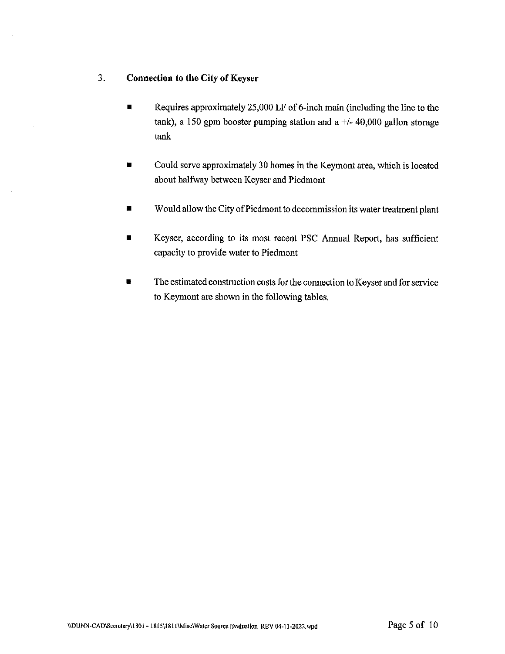#### 3. **Connection to the City of Keyser**

- Requires approximately 25,000 LF of 6-inch main (including the line to the  $\blacksquare$ tank), a 150 gpm booster pumping station and a  $+/-$  40,000 gallon storage tank
- Could serve approximately 30 homes in the Keymont area, which is located  $\blacksquare$ about halfway between Keyser and Piedmont
- Would allow the City of Piedmont to decommission its water treatment plant  $\blacksquare$
- Keyser, according to its most recent PSC Annual Report, has sufficient capacity to provide water to Piedmont
- The estimated construction costs for the connection to Keyser and for service ÷ to Keymont are shown in the following tables.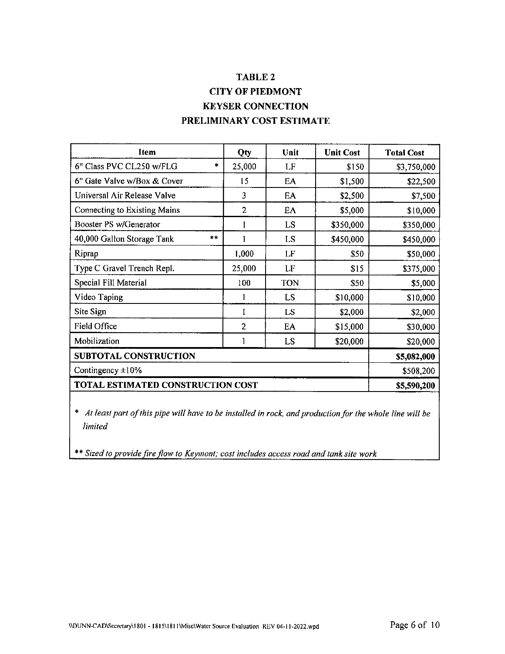# TABLE 2 **CITY OF PIEDMONT KEYSER CONNECTION** PRELIMINARY COST ESTIMATE

| Item                              |        | Qty            | Unit       | <b>Unit Cost</b> | <b>Total Cost</b> |
|-----------------------------------|--------|----------------|------------|------------------|-------------------|
| 6" Class PVC CL250 w/FLG          | $\ast$ | 25,000         | LF         | \$150            | \$3,750,000       |
| 6" Gate Valve w/Box & Cover       |        | 15             | EA         | \$1,500          | \$22,500          |
| Universal Air Release Valve       |        | 3              | EA         | \$2,500          | \$7,500           |
| Connecting to Existing Mains      |        | $\overline{2}$ | EA         | \$5,000          | \$10,000          |
| Booster PS w/Generator            |        |                | LS         | \$350,000        | \$350,000         |
| 40,000 Gallon Storage Tank        | $* *$  |                | LS         | \$450,000        | \$450,000         |
| Riprap                            |        | 1,000          | LF         | \$50             | \$50,000          |
| Type C Gravel Trench Repl.        |        | 25,000         | LF         | \$15             | \$375,000         |
| Special Fill Material             |        | 100            | <b>TON</b> | \$50             | \$5,000           |
| Video Taping                      |        |                | LS         | \$10,000         | \$10,000          |
| Site Sign                         |        | 1              | LS         | \$2,000          | \$2,000           |
| <b>Field Office</b>               |        | $\overline{2}$ | EA         | \$15,000         | \$30,000          |
| Mobilization                      |        |                | LS         | \$20,000         | \$20,000          |
| <b>SUBTOTAL CONSTRUCTION</b>      |        |                |            |                  | \$5,082,000       |
| Contingency $\pm 10\%$            |        |                |            |                  | \$508,200         |
| TOTAL ESTIMATED CONSTRUCTION COST |        |                |            |                  | \$5,590,200       |

\* At least part of this pipe will have to be installed in rock, and production for the whole line will be *limited* 

\*\* Sized to provide fire flow to Keymont; cost includes access road and tank site work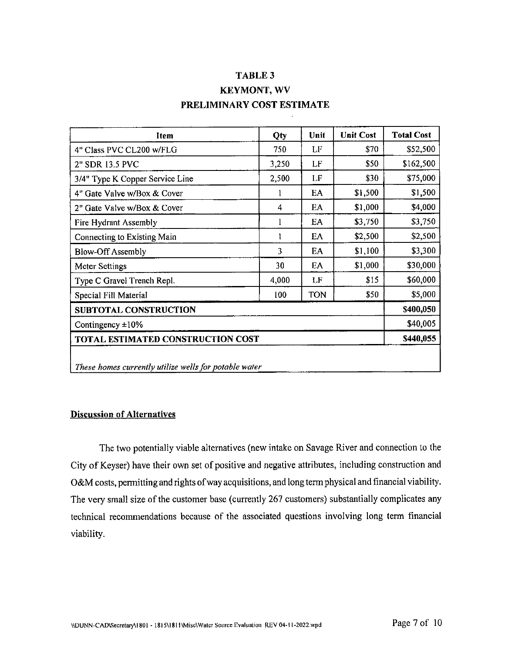# TABLE 3 **KEYMONT, WV** PRELIMINARY COST ESTIMATE

| Item                                                  | Qty   | Unit       | <b>Unit Cost</b> | <b>Total Cost</b> |  |
|-------------------------------------------------------|-------|------------|------------------|-------------------|--|
| 4" Class PVC CL200 w/FLG                              | 750   | LF         | \$70             | \$52,500          |  |
| 2" SDR 13.5 PVC                                       | 3,250 | LF         | \$50             | \$162,500         |  |
| 3/4" Type K Copper Service Line                       | 2,500 | LF         | \$30             | \$75,000          |  |
| 4" Gate Valve w/Box & Cover                           | 1     | EA         | \$1,500          | \$1,500           |  |
| 2" Gate Valve w/Box & Cover                           | 4     | EA         | \$1,000          | \$4,000           |  |
| Fire Hydrant Assembly                                 | 1     | EA         | \$3,750          | \$3,750           |  |
| Connecting to Existing Main                           | ì     | EA         | \$2,500          | \$2,500           |  |
| <b>Blow-Off Assembly</b>                              | 3     | EA         | \$1,100          | \$3,300           |  |
| Meter Settings                                        | 30    | EA         | \$1,000          | \$30,000          |  |
| Type C Gravel Trench Repl.                            | 4,000 | LF         | \$15             | \$60,000          |  |
| Special Fill Material                                 | 100   | <b>TON</b> | \$50             | \$5,000           |  |
| SUBTOTAL CONSTRUCTION                                 |       |            |                  | \$400,050         |  |
| Contingency $\pm 10\%$                                |       |            |                  |                   |  |
| TOTAL ESTIMATED CONSTRUCTION COST                     |       |            |                  |                   |  |
| These homes currently utilize wells for potable water |       |            |                  |                   |  |

## **Discussion of Alternatives**

The two potentially viable alternatives (new intake on Savage River and connection to the City of Keyser) have their own set of positive and negative attributes, including construction and O&M costs, permitting and rights of way acquisitions, and long term physical and financial viability. The very small size of the customer base (currently 267 customers) substantially complicates any technical recommendations because of the associated questions involving long term financial viability.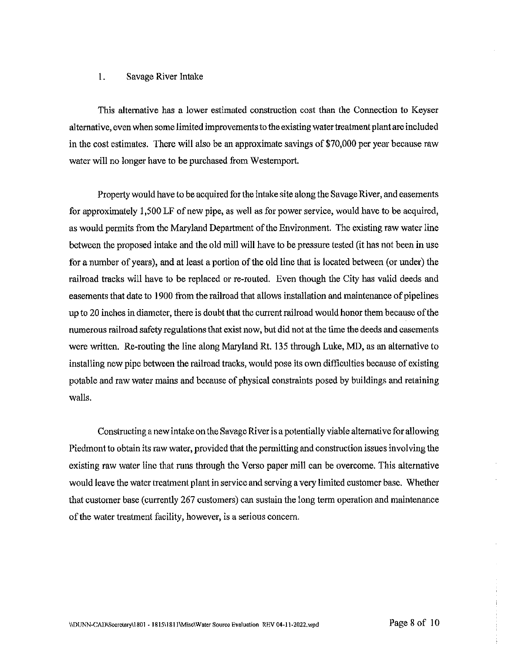#### 1. Savage River Intake

This alternative has a lower estimated construction cost than the Connection to Keyser alternative, even when some limited improvements to the existing water treatment plant are included in the cost estimates. There will also be an approximate savings of \$70,000 per year because raw water will no longer have to be purchased from Westernport.

Property would have to be acquired for the intake site along the Savage River, and easements for approximately 1,500 LF of new pipe, as well as for power service, would have to be acquired, as would permits from the Maryland Department of the Environment. The existing raw water line between the proposed intake and the old mill will have to be pressure tested (it has not been in use for a number of years), and at least a portion of the old line that is located between (or under) the railroad tracks will have to be replaced or re-routed. Even though the City has valid deeds and easements that date to 1900 from the railroad that allows installation and maintenance of pipelines up to 20 inches in diameter, there is doubt that the current railroad would honor them because of the numerous railroad safety regulations that exist now, but did not at the time the deeds and easements were written. Re-routing the line along Maryland Rt. 135 through Luke, MD, as an alternative to installing new pipe between the railroad tracks, would pose its own difficulties because of existing potable and raw water mains and because of physical constraints posed by buildings and retaining walls.

Constructing a new intake on the Savage River is a potentially viable alternative for allowing Piedmont to obtain its raw water, provided that the permitting and construction issues involving the existing raw water line that runs through the Verso paper mill can be overcome. This alternative would leave the water treatment plant in service and serving a very limited customer base. Whether that customer base (currently 267 customers) can sustain the long term operation and maintenance of the water treatment facility, however, is a serious concern.

 $\frac{1}{2}$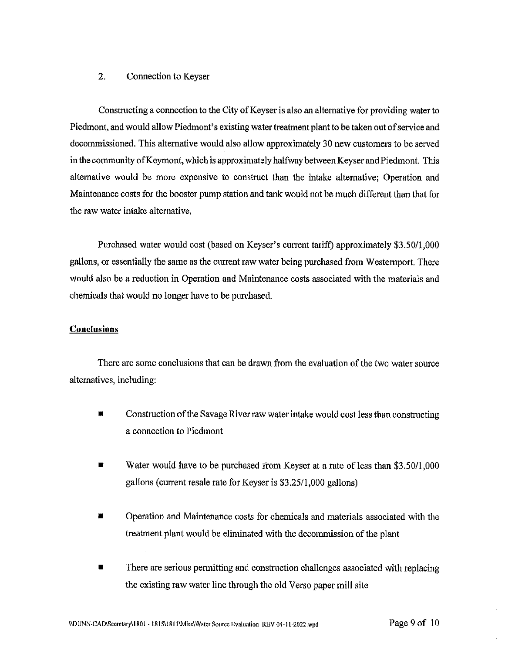#### $2.$ Connection to Keyser

Constructing a connection to the City of Keyser is also an alternative for providing water to Piedmont, and would allow Piedmont's existing water treatment plant to be taken out of service and decommissioned. This alternative would also allow approximately 30 new customers to be served in the community of Keymont, which is approximately halfway between Keyser and Piedmont. This alternative would be more expensive to construct than the intake alternative; Operation and Maintenance costs for the booster pump station and tank would not be much different than that for the raw water intake alternative.

Purchased water would cost (based on Keyser's current tariff) approximately \$3.50/1,000 gallons, or essentially the same as the current raw water being purchased from Westernport. There would also be a reduction in Operation and Maintenance costs associated with the materials and chemicals that would no longer have to be purchased.

### **Conclusions**

There are some conclusions that can be drawn from the evaluation of the two water source alternatives, including:

- Construction of the Savage River raw water intake would cost less than constructing a connection to Piedmont
- Water would have to be purchased from Keyser at a rate of less than \$3,50/1,000 gallons (current resale rate for Keyser is \$3.25/1,000 gallons)
- Operation and Maintenance costs for chemicals and materials associated with the treatment plant would be eliminated with the decommission of the plant
- There are serious permitting and construction challenges associated with replacing the existing raw water line through the old Verso paper mill site